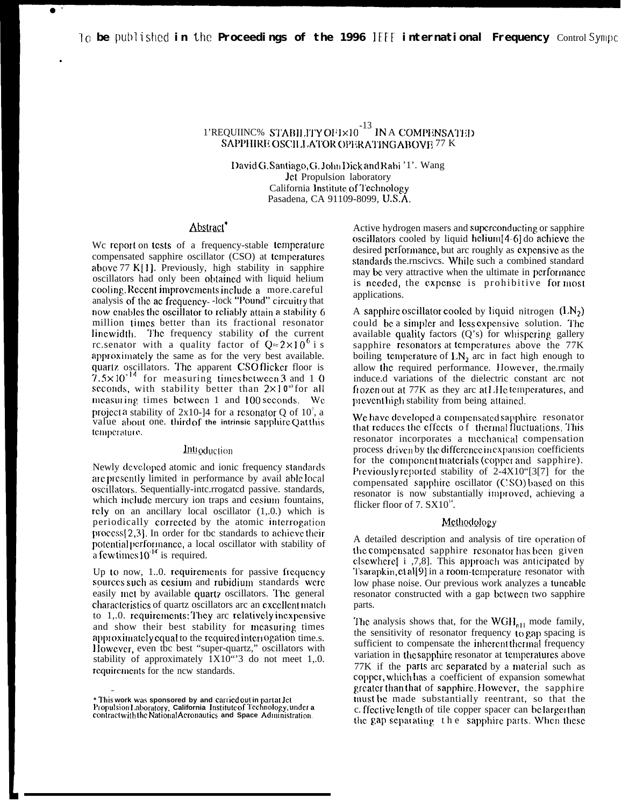lo be published in the Proceedings of the 1996 IEEE international Frequency ControlSympc

# 1'REQUIINC% STABILITY OF  $1\times10^{-13}$  IN A COMPENSATED SAPPHIRE OSCILLATOR OPERATING ABOVE 77 K

David G. Santiago, G. John Dick and Rabi '1'. Wang Jet Propulsion laboratory California Institute of Technology Pasadena, CA 91109-8099, U.S.A.

# Abstract\*

We report on tests of a frequency-stable temperature compensated sapphire oscillator (CSO) at temperatures above 77 K[1]. Previously, high stability in sapphire oscillators had only been obtained with liquid helium cooling. Recent improvements include a more.careful analysis of the ac frequency-lock "Pound" circuitry that now enables the oscillator to reliably attain a stability 6 million times better than its fractional resonator linewidth. The frequency stability of the current rc.senator with a quality factor of  $Q \approx 2 \times 10^6$  i s approximately the same as for the very best available. quartz oscillators. The apparent CSO flicker floor is  $7.5 \times 10^{-14}$  for measuring times between 3 and 1 0 seconds, with stability better than 2×10<sup>3</sup> for all measuring times between 1 and 100 seconds. We projecta stability of 2x10-14 for a resonator Q of  $10^7$ , a value about one. third of the intrinsic sapphire Qatthis temperature.

## Introduction

Newly developed atomic and ionic frequency standards are presently limited in performance by avail able local oscillators. Sequentially-intc.rrogated passive. standards, which include mercury ion traps and cesium fountains, rely on an ancillary local oscillator (1,.0.) which is periodically corrected by the atomic interrogation process[2,3]. In order for the standards to achieve their potential performance, a local oscillator with stability of a few times  $10^{-14}$  is required.

Up to now, 1.0. requirements for passive frequency sources such as cesium and rubidium standards were easily met by available quartz oscillators. The general characteristics of quartz oscillators are an excellent match to 1,.0. requirements: They are relatively inexpensive and show their best stability for measuring times approximately equal to the required interrogation time.s. However, even the best "super-quartz," oscillators with stability of approximately  $1X10^{10}$  do not meet 1,.0. requirements for the new standards.

Active hydrogen masers and superconducting or sapphire oscillators cooled by liquid helium[4-6] do achieve the desired performance, but are roughly as expensive as the standards the rnscives. While such a combined standard may be very attractive when the ultimate in performance is needed, the expense is prohibitive for most applications.

A sapphire oscillator cooled by liquid nitrogen  $(LN_2)$ could be a simpler and less expensive solution. The available quality factors (Q's) for whispering gallery sapphire resonators at temperatures above the 77K boiling temperature of LN, arc in fact high enough to allow the required performance. However, the maily induce.d variations of the dielectric constant arc not frozen out at 77K as they are at LHe temperatures, and prevent high stability from being attained.

We have developed a compensated sapphire resonator that reduces the effects of thermal fluctuations. This resonator incorporates a mechanical compensation process driven by the difference in expansion coefficients for the component materials (copper and sapphire). Previously reported stability of 2-4X10"[3[7] for the compensated sapphire oscillator (CSO) based on this resonator is now substantially improved, achieving a flicker floor of  $7. S<sub>X10<sup>14</sup></sub>$ .

### Methodology

A detailed description and analysis of tire operation of the compensated sapphire resonator has been given elsewhere [i .7.8]. This approach was anticipated by Tsarapkin, et al[9] in a room-temperature resonator with low phase noise. Our previous work analyzes a tuncable resonator constructed with a gap between two sapphire parts.

The analysis shows that, for the  $WGH_{n11}$  mode family, the sensitivity of resonator frequency to gap spacing is sufficient to compensate the inherent thermal frequency variation in the sapphire resonator at temperatures above 77K if the parts arc separated by a material such as copper, which has a coefficient of expansion somewhat greater than that of sapphire. However, the sapphire must be made substantially reentrant, so that the c. ffective length of tile copper spacer can be larger than the gap separating the sapphire parts. When these

<sup>\*</sup> This work was sponsored by and carried out in part at Jet<br>Propulsion Laboratory, California Institute of Technology, under a<br>contract with the National Acronautics and Space Administration.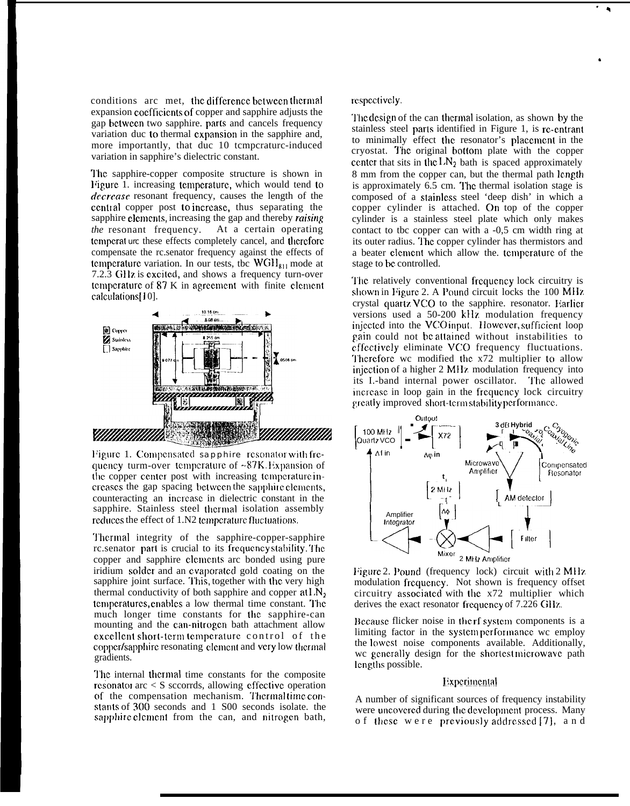conditions arc met, the difference between thermal expansion coefficients of copper and sapphire adjusts the gap bctwccn two sapphire. parts and cancels frequency variation duc to thermal expansion in the sapphire and, more importantly, that duc 10 tcmpcraturc-induced variation in sapphire's dielectric constant.

'1'hc sapphire-copper composite structure is shown in Figure 1. increasing temperature, which would tend to *decrease* resonant frequency, causes the length of the ccntral copper post to increase, thus separating the sapphire clcmcnts, increasing the gap and thereby *raising the* resonant frequency. At a certain operating tcmpcrat urc these effects completely cancel, and thcrcforc compensate the rc.senator frequency against the effects of temperature variation. In our tests, tbc  $WGH_{811}$  mode at 7.2.3 GHz is excited, and shows a frequency turn-over temperature of  $87 \text{ K}$  in agreement with finite element calculations[10].



Figure 1. Compensated sapphire resonator with frequency turm-over temperature of  $\sim 87K$ . Expansion of the copper center post with increasing temperature increases the gap spacing between the sapphire elements, counteracting an incrcasc in dielectric constant in the sapphire. Stainless steel thermal isolation assembly reduces the effect of 1.N2 temperature fluctuations.

'1'hcrmal integrity of the sapphire-copper-sapphire rc.senator part is crucial to its frequency stability. The copper and sapphire clements arc bonded using pure iridium solder and an evaporated gold coating on the sapphire joint surface. This, together with the very high thermal conductivity of both sapphire and copper  $at N_2$ temperatures, enables a low thermal time constant. The much longer time constants for the sapphire-can mounting and the can-nitrogen bath attachment allow excellent short-term temperature control of the copper/sapphire resonating element and very low thermal gradients.

The internal thermal time constants for the composite resonator arc  $\lt S$  sccorrds, allowing effective operation of the compensation mechanism. Thermal time constants of 300 seconds and 1 S00 seconds isolate. the sapphire element from the can, and nitrogen bath,

# rc.spcctivcly.

'1'bc design of the can tbcrmal isolation, as shown by the stainless steel parls identified in Figure 1, is rc-cmtrant to minimally effect the resonator's placement in the cryostat. The original bottom plate with the copper center that sits in the  $LN_2$  bath is spaced approximately 8 mm from the copper can, but the thermal path length is approximately  $6.5$  cm. The thermal isolation stage is composed of a slainlcss steel 'deep dish' in which a copper cylinder is attached. On top of the copper cylinder is a stainless steel plate which only makes contact to tbc copper can with a -0,5 cm width ring at its outer radius. The copper cylinder has thermistors and a beater clcmcnt which allow the. tcmpcraturc of the stage to bc controlled.

The relatively conventional frequency lock circuitry is shown in Figure 2. A Pound circuit locks the 100 MHz crystal quartz VCO to the sapphire. resonator. Harlicr versions used a 50-200 kll?. modulation frequency injected into the VCO input. However, sufficient loop ~ain could not bc attained without instabilities to cffcclivcly eliminate VCO frequency fluctuations. Therefore we modified the x72 multiplier to allow injection of a higher 2 MHz modulation frequency into its I.-band internal power oscillator. The allowed increase in loop gain in the frequency lock circuitry greatly improved short-term stability performance.



Figure 2. Pound (frequency lock) circuit with  $2 \text{ MHz}$ modulation frequency. Not shown is frequency offset circuitry associated with the  $x72$  multiplier which derives the exact resonator frequency of  $7.226$  GHz.

Because flicker noise in the rf system components is a limiting factor in the system performance wc employ the lowest noise components available. Additionally, wc generally design for the shortest microwave path Icngths possible.

### Experimental

A number of significant sources of frequency instability were uncovered during the development process. Many of these were previously addressed [7], and

\*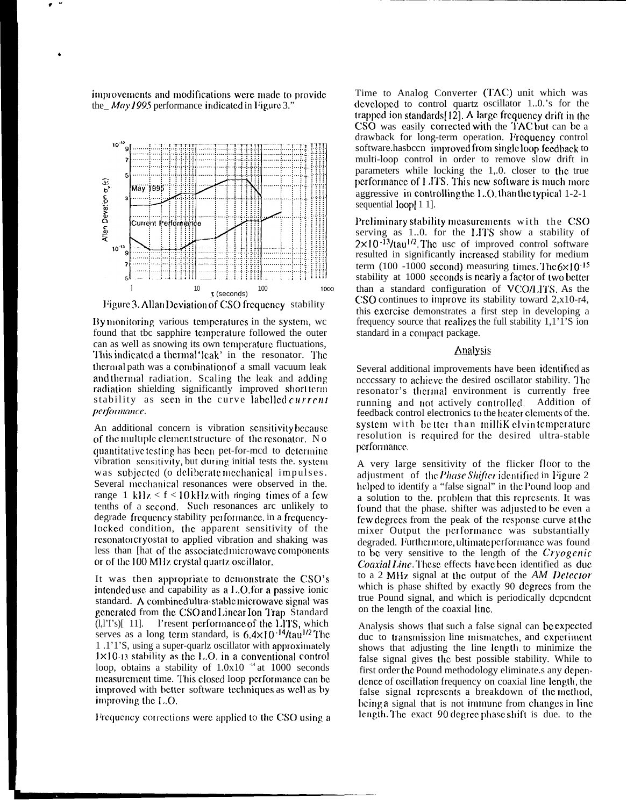improvements and modifications were made to provide the\_ $May$  1995 performance indicated in Figure 3."



Figure 3. Allan Deviation of CSO frequency stability

By monitoring various temperatures in the system, we found that tbc sapphire temperature followed the outer can as well as snowing its own temperature fluctuations, This indicated a thermal 'leak' in the resonator. The thermal path was a combination of a small vacuum leak and thermal radiation. Scaling the leak and adding radiation shielding significantly improved short term stability as seen in the curve labelled *current performance.* 

An additional concern is vibration sensitivity because of the multiple element structure of the resonator. No quantitative testing has been pet-for-med to determine vibration sensitivity, but during initial tests the. system was subjected (o deliberate mechanical impulses. Several mechanical resonances were observed in the. range 1 kHz  $\lt f \lt 10$  kHz with ringing times of a few tenths of a second. Such resonances arc unlikely to degrade frequency stability performance, in a frequencylocked condition, the apparent sensitivity of the resonator cryostat to applied vibration and shaking was less than [hat of the associated microwave components] or of the 100 MHz crystal quartz oscillator.

It was then appropriate to demonstrate the CSO's intended use and capability as a L.O. for a passive ionic standard. A combined ultra-stable microwave signal was generated from the CSO and Linear Ion Trap Standard (l,l'I's)[ 11]. l'resent performance of the LITS, which serves as a long term standard, is  $6.4 \times 10^{-14}$ /tau<sup>1/2</sup> The 1.1'1'S, using a super-quariz oscillator with approximately  $1 \times 10.13$  stability as the L.O. in a conventional control loop, obtains a stability of  $1.0x10^{-14}$  at 1000 seconds measurement time. This closed loop performance can be improved with better software techniques as well as by improving the  $1 \dots$ O.

Frequency corrections were applied to the CSO using a

Time to Analog Converter (TAC) unit which was developed to control quartz oscillator 1.0.'s for the trapped ion standards [12]. A large frequency drift in the CSO was easily corrected with the TAC but can be a drawback for long-term operation. Frequency control software.hasbccn improved from single loop feedback to multi-loop control in order to remove slow drift in parameters while locking the 1,.0. closer to the true performance of LITS. This new software is much more aggressive in controlling the L.O. than the typical 1-2-1 sequential loop[11].

Preliminary stability measurements with the CSO serving as 1.0. for the LITS show a stability of  $2 \times 10^{-13}$ /tau<sup>1/2</sup>. The use of improved control software resulted in significantly increased stability for medium term (100 -1000 second) measuring times. The  $6 \times 10^{-15}$ stability at 1000 seconds is nearly a factor of two better than a standard configuration of VCO/LITS. As the CSO continues to improve its stability toward  $2, x10-r4$ , this exercise demonstrates a first step in developing a frequency source that realizes the full stability  $1,1,\overline{1}$ . S ion standard in a compact package.

# **Analysis**

Several additional improvements have been identified as necessary to achieve the desired oscillator stability. The resonator's thermal environment is currently free running and not actively controlled. Addition of feedback control electronics to the heater elements of the. system with better than millik elvin temperature resolution is required for the desired ultra-stable performance.

A very large sensitivity of the flicker floor to the adjustment of the *Phase Shifter* identified in Figure 2 helped to identify a "false signal" in the Pound loop and a solution to the. problem that this represents. It was found that the phase. shifter was adjusted to be even a few degrees from the peak of the response curve at the mixer Output the performance was substantially degraded. Furthermore, ultimate performance was found to be very sensitive to the length of the Cryogenic Coaxial Line. These effects have been identified as due to a 2 MHz signal at the output of the AM Detector which is phase shifted by exactly 90 degrees from the true Pound signal, and which is periodically dependent on the length of the coaxial line.

Analysis shows that such a false signal can be expected due to transmission line mismatches, and experiment shows that adjusting the line length to minimize the false signal gives the best possible stability. While to first order the Pound methodology eliminate.s any dependence of oscillation frequency on coaxial line length, the false signal represents a breakdown of the method, being a signal that is not immune from changes in line length. The exact 90 degree phase shift is due. to the